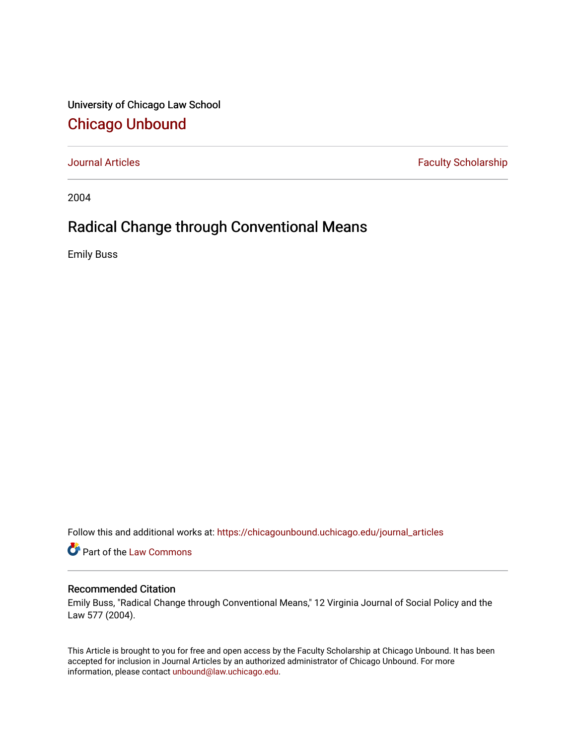University of Chicago Law School [Chicago Unbound](https://chicagounbound.uchicago.edu/)

[Journal Articles](https://chicagounbound.uchicago.edu/journal_articles) **Faculty Scholarship Faculty Scholarship** 

2004

# Radical Change through Conventional Means

Emily Buss

Follow this and additional works at: [https://chicagounbound.uchicago.edu/journal\\_articles](https://chicagounbound.uchicago.edu/journal_articles?utm_source=chicagounbound.uchicago.edu%2Fjournal_articles%2F1092&utm_medium=PDF&utm_campaign=PDFCoverPages) 

Part of the [Law Commons](http://network.bepress.com/hgg/discipline/578?utm_source=chicagounbound.uchicago.edu%2Fjournal_articles%2F1092&utm_medium=PDF&utm_campaign=PDFCoverPages)

## Recommended Citation

Emily Buss, "Radical Change through Conventional Means," 12 Virginia Journal of Social Policy and the Law 577 (2004).

This Article is brought to you for free and open access by the Faculty Scholarship at Chicago Unbound. It has been accepted for inclusion in Journal Articles by an authorized administrator of Chicago Unbound. For more information, please contact [unbound@law.uchicago.edu](mailto:unbound@law.uchicago.edu).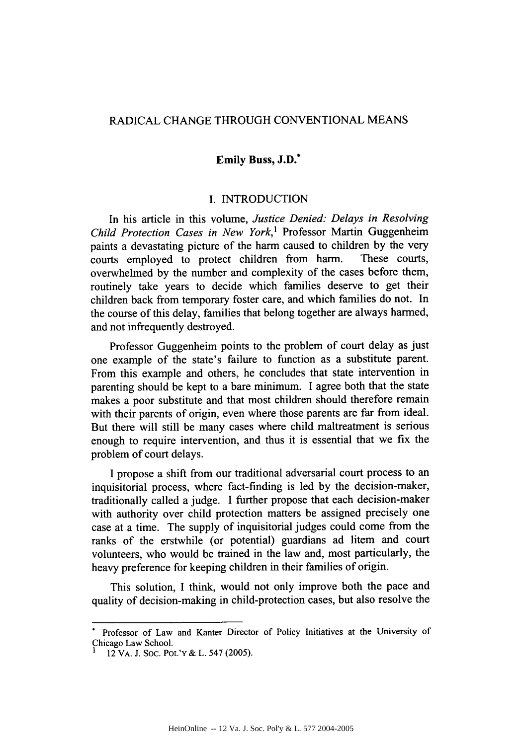## RADICAL CHANGE THROUGH CONVENTIONAL MEANS

#### Emily Buss, **J.D.\***

#### I. INTRODUCTION

In his article in this volume, *Justice Denied: Delays in Resolving Child Protection Cases in New York,'* Professor Martin Guggenheim paints a devastating picture of the harm caused to children by the very courts employed to protect children from harm. These courts, overwhelmed by the number and complexity of the cases before them, routinely take years to decide which families deserve to get their children back from temporary foster care, and which families do not. In the course of this delay, families that belong together are always harmed, and not infrequently destroyed.

Professor Guggenheim points to the problem of court delay as just one example of the state's failure to function as a substitute parent. From this example and others, he concludes that state intervention in parenting should be kept to a bare minimum. I agree both that the state makes a poor substitute and that most children should therefore remain with their parents of origin, even where those parents are far from ideal. But there will still be many cases where child maltreatment is serious enough to require intervention, and thus it is essential that we fix the problem of court delays.

I propose a shift from our traditional adversarial court process to an inquisitorial process, where fact-finding is led by the decision-maker, traditionally called a judge. I further propose that each decision-maker with authority over child protection matters be assigned precisely one case at a time. The supply of inquisitorial judges could come from the ranks of the erstwhile (or potential) guardians ad litem and court volunteers, who would be trained in the law and, most particularly, the heavy preference for keeping children in their families of origin.

This solution, I think, would not only improve both the pace and quality of decision-making in child-protection cases, but also resolve the

Professor of Law and Kanter Director of Policy Initiatives at the University of Chicago Law School.

**<sup>1</sup>** 12 VA. J. SOC. POL'Y **&** L. 547 (2005).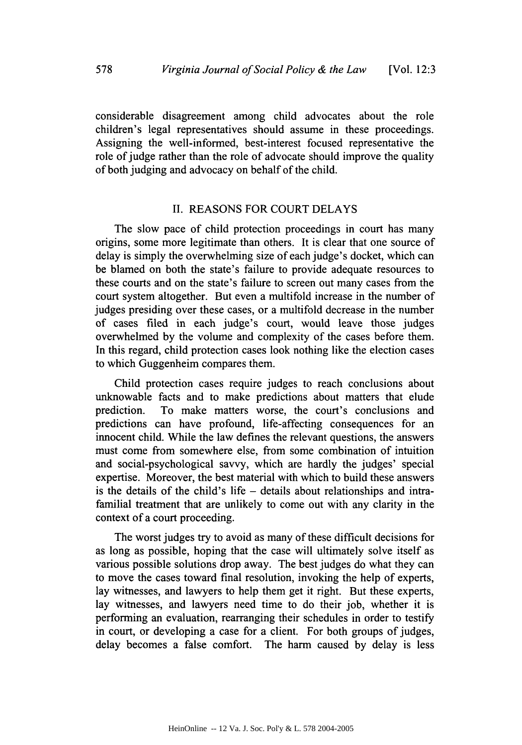considerable disagreement among child advocates about the role children's legal representatives should assume in these proceedings. Assigning the well-informed, best-interest focused representative the role of judge rather than the role of advocate should improve the quality of both judging and advocacy on behalf of the child.

#### II. REASONS FOR COURT DELAYS

The slow pace of child protection proceedings in court has many origins, some more legitimate than others. It is clear that one source of delay is simply the overwhelming size of each judge's docket, which can be blamed on both the state's failure to provide adequate resources to these courts and on the state's failure to screen out many cases from the court system altogether. But even a multifold increase in the number of judges presiding over these cases, or a multifold decrease in the number of cases filed in each judge's court, would leave those judges overwhelmed by the volume and complexity of the cases before them. In this regard, child protection cases look nothing like the election cases to which Guggenheim compares them.

Child protection cases require judges to reach conclusions about unknowable facts and to make predictions about matters that elude prediction. To make matters worse, the court's conclusions and predictions can have profound, life-affecting consequences for an innocent child. While the law defines the relevant questions, the answers must come from somewhere else, from some combination of intuition and social-psychological savvy, which are hardly the judges' special expertise. Moreover, the best material with which to build these answers is the details of the child's life - details about relationships and intrafamilial treatment that are unlikely to come out with any clarity in the context of a court proceeding.

The worst judges try to avoid as many of these difficult decisions for as long as possible, hoping that the case will ultimately solve itself as various possible solutions drop away. The best judges do what they can to move the cases toward final resolution, invoking the help of experts, lay witnesses, and lawyers to help them get it right. But these experts, lay witnesses, and lawyers need time to do their job, whether it is performing an evaluation, rearranging their schedules in order to testify in court, or developing a case for a client. For both groups of judges, delay becomes a false comfort. The harm caused by delay is less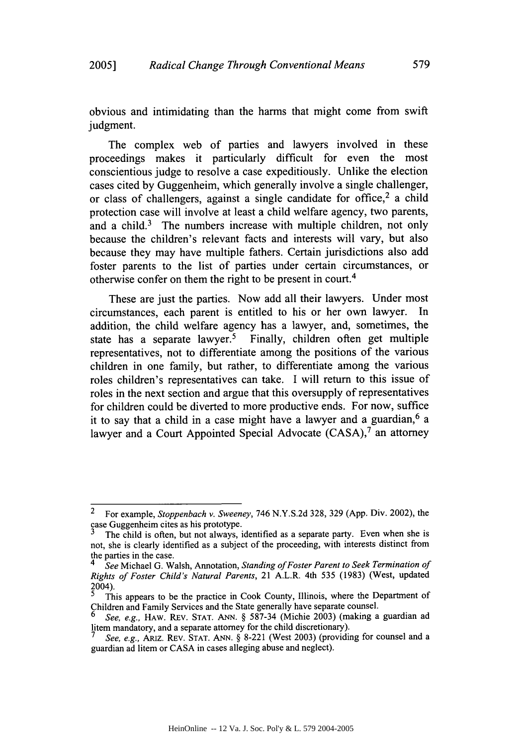obvious and intimidating than the harms that might come from swift judgment.

The complex web of parties and lawyers involved in these proceedings makes it particularly difficult for even the most conscientious judge to resolve a case expeditiously. Unlike the election cases cited by Guggenheim, which generally involve a single challenger, or class of challengers, against a single candidate for office,  $2$  a child protection case will involve at least a child welfare agency, two parents, and a child.<sup>3</sup> The numbers increase with multiple children, not only because the children's relevant facts and interests will vary, but also because they may have multiple fathers. Certain jurisdictions also add foster parents to the list of parties under certain circumstances, or otherwise confer on them the right to be present in court.<sup>4</sup>

These are just the parties. Now add all their lawyers. Under most circumstances, each parent is entitled to his or her own lawyer. In addition, the child welfare agency has a lawyer, and, sometimes, the state has a separate lawyer.<sup>5</sup> Finally, children often get multiple representatives, not to differentiate among the positions of the various children in one family, but rather, to differentiate among the various roles children's representatives can take. I will return to this issue of roles in the next section and argue that this oversupply of representatives for children could be diverted to more productive ends. For now, suffice it to say that a child in a case might have a lawyer and a guardian,<sup>6</sup> a lawyer and a Court Appointed Special Advocate (CASA),<sup>7</sup> an attorney

<sup>2</sup> For example, *Stoppenbach v. Sweeney,* 746 N.Y.S.2d 328, 329 (App. Div. 2002), the case Guggenheim cites as his prototype.<br><sup>3</sup>The child is often, but not always, identified as a separate party. Even when she is

not, she is clearly identified as a subject of the proceeding, with interests distinct from the parties in the case. *4 See* Michael G. Walsh, Annotation, *Standing of Foster Parent to Seek Termination of*

*Rights of Foster Child's Natural Parents,* 21 A.L.R. 4th 535 (1983) (West, updated 2004).

**<sup>5</sup>** This appears to be the practice in Cook County, Illinois, where the Department of Children and Family Services and the State generally have separate counsel.

*<sup>6</sup> See, e.g.,* HAW. REV. **STAT. ANN.** § 587-34 (Michie 2003) (making a guardian ad litem mandatory, and a separate attorney for the child discretionary). *<sup>7</sup>See, e.g.,* ARIZ. REV. **STAT. ANN.** § 8-221 (West 2003) (providing for counsel and a

guardian ad litem or CASA in cases alleging abuse and neglect).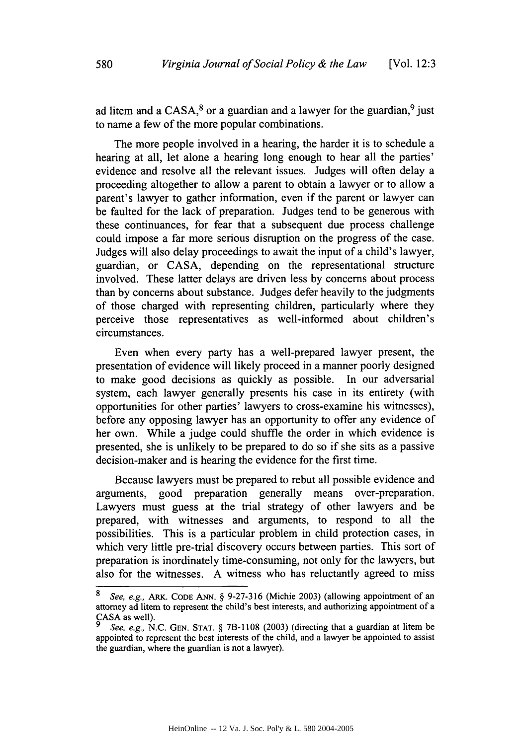ad litem and a  $CASA$ <sup>8</sup> or a guardian and a lawyer for the guardian,<sup>9</sup> just to name a few of the more popular combinations.

The more people involved in a hearing, the harder it is to schedule a hearing at all, let alone a hearing long enough to hear all the parties' evidence and resolve all the relevant issues. Judges will often delay a proceeding altogether to allow a parent to obtain a lawyer or to allow a parent's lawyer to gather information, even if the parent or lawyer can be faulted for the lack of preparation. Judges tend to be generous with these continuances, for fear that a subsequent due process challenge could impose a far more serious disruption on the progress of the case. Judges will also delay proceedings to await the input of a child's lawyer, guardian, or CASA, depending on the representational structure involved. These latter delays are driven less by concerns about process than by concerns about substance. Judges defer heavily to the judgments of those charged with representing children, particularly where they perceive those representatives as well-informed about children's circumstances.

Even when every party has a well-prepared lawyer present, the presentation of evidence will likely proceed in a manner poorly designed to make good decisions as quickly as possible. In our adversarial system, each lawyer generally presents his case in its entirety (with opportunities for other parties' lawyers to cross-examine his witnesses), before any opposing lawyer has an opportunity to offer any evidence of her own. While a judge could shuffle the order in which evidence is presented, she is unlikely to be prepared to do so if she sits as a passive decision-maker and is hearing the evidence for the first time.

Because lawyers must be prepared to rebut all possible evidence and arguments, good preparation generally means over-preparation. Lawyers must guess at the trial strategy of other lawyers and be prepared, with witnesses and arguments, to respond to all the possibilities. This is a particular problem in child protection cases, in which very little pre-trial discovery occurs between parties. This sort of preparation is inordinately time-consuming, not only for the lawyers, but also for the witnesses. A witness who has reluctantly agreed to miss

*<sup>8</sup>* See, e.g., *ARK.* **CODE ANN.** § 9-27-316 (Michie 2003) (allowing appointment of an attorney ad litem to represent the child's best interests, and authorizing appointment of a CASA as well).

*<sup>9</sup>* See, e.g., N.C. GEN. **STAT.** § 7B-1 **108** (2003) (directing that a guardian at litem be appointed to represent the best interests of the child, and a lawyer be appointed to assist the guardian, where the guardian is not a lawyer).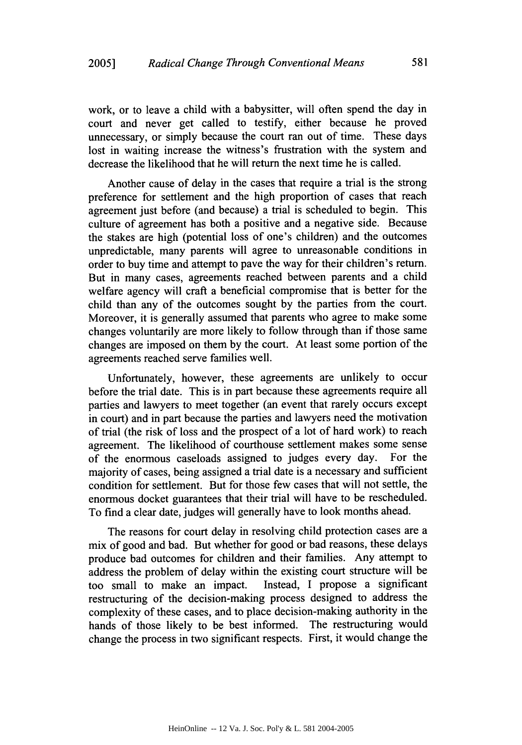work, or to leave a child with a babysitter, will often spend the day in court and never get called to testify, either because he proved unnecessary, or simply because the court ran out of time. These days lost in waiting increase the witness's frustration with the system and decrease the likelihood that he will return the next time he is called.

Another cause of delay in the cases that require a trial is the strong preference for settlement and the high proportion of cases that reach agreement just before (and because) a trial is scheduled to begin. This culture of agreement has both a positive and a negative side. Because the stakes are high (potential loss of one's children) and the outcomes unpredictable, many parents will agree to unreasonable conditions in order to buy time and attempt to pave the way for their children's return. But in many cases, agreements reached between parents and a child welfare agency will craft a beneficial compromise that is better for the child than any of the outcomes sought by the parties from the court. Moreover, it is generally assumed that parents who agree to make some changes voluntarily are more likely to follow through than if those same changes are imposed on them by the court. At least some portion of the agreements reached serve families well.

Unfortunately, however, these agreements are unlikely to occur before the trial date. This is in part because these agreements require all parties and lawyers to meet together (an event that rarely occurs except in court) and in part because the parties and lawyers need the motivation of trial (the risk of loss and the prospect of a lot of hard work) to reach agreement. The likelihood of courthouse settlement makes some sense of the enormous caseloads assigned to judges every day. For the majority of cases, being assigned a trial date is a necessary and sufficient condition for settlement. But for those few cases that will not settle, the enormous docket guarantees that their trial will have to be rescheduled. To find a clear date, judges will generally have to look months ahead.

The reasons for court delay in resolving child protection cases are a mix of good and bad. But whether for good or bad reasons, these delays produce bad outcomes for children and their families. Any attempt to address the problem of delay within the existing court structure will be too small to make an impact. Instead, I propose a significant restructuring of the decision-making process designed to address the complexity of these cases, and to place decision-making authority in the hands of those likely to be best informed. The restructuring would change the process in two significant respects. First, it would change the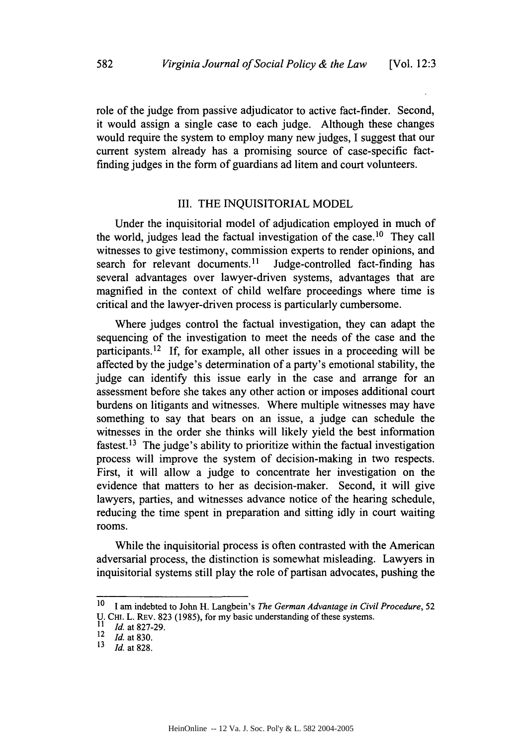role of the judge from passive adjudicator to active fact-finder. Second, it would assign a single case to each judge. Although these changes would require the system to employ many new judges, I suggest that our current system already has a promising source of case-specific factfinding judges in the form of guardians ad litem and court volunteers.

#### III. THE INQUISITORIAL MODEL

Under the inquisitorial model of adjudication employed in much of the world, judges lead the factual investigation of the case.<sup>10</sup> They call witnesses to give testimony, commission experts to render opinions, and search for relevant documents.<sup>11</sup> Judge-controlled fact-finding has several advantages over lawyer-driven systems, advantages that are magnified in the context of child welfare proceedings where time is critical and the lawyer-driven process is particularly cumbersome.

Where judges control the factual investigation, they can adapt the sequencing of the investigation to meet the needs of the case and the participants. 12 If, for example, all other issues in a proceeding will be affected by the judge's determination of a party's emotional stability, the judge can identify this issue early in the case and arrange for an assessment before she takes any other action or imposes additional court burdens on litigants and witnesses. Where multiple witnesses may have something to say that bears on an issue, a judge can schedule the witnesses in the order she thinks will likely yield the best information fastest.<sup>13</sup> The judge's ability to prioritize within the factual investigation process will improve the system of decision-making in two respects. First, it will allow a judge to concentrate her investigation on the evidence that matters to her as decision-maker. Second, it will give lawyers, parties, and witnesses advance notice of the hearing schedule, reducing the time spent in preparation and sitting idly in court waiting rooms.

While the inquisitorial process is often contrasted with the American adversarial process, the distinction is somewhat misleading. Lawyers in inquisitorial systems still play the role of partisan advocates, pushing the

<sup>10</sup>**1** am indebted to John H. Langbein's *The German Advantage in Civil Procedure, 52*

U. CHI. L. REV. 823 (1985), for my basic understanding of these systems.

 $\frac{11}{12}$  *Id.* at 827-29.

 $\frac{12}{13}$  *Id.* at 830.

*<sup>13</sup>Id.* at 828.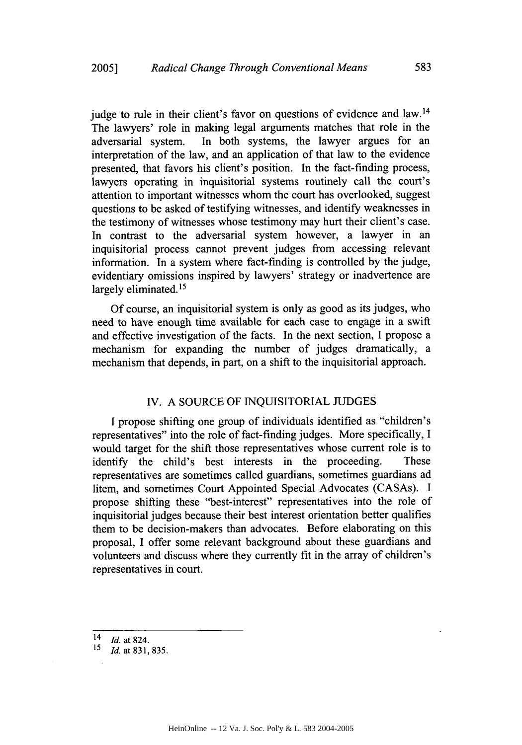judge to rule in their client's favor on questions of evidence and  $law<sup>14</sup>$ The lawyers' role in making legal arguments matches that role in the adversarial system. In both systems, the lawyer argues for an interpretation of the law, and an application of that law to the evidence presented, that favors his client's position. In the fact-finding process, lawyers operating in inquisitorial systems routinely call the court's attention to important witnesses whom the court has overlooked, suggest questions to be asked of testifying witnesses, and identify weaknesses in the testimony of witnesses whose testimony may hurt their client's case. In contrast to the adversarial system however, a lawyer in an inquisitorial process cannot prevent judges from accessing relevant information. In a system where fact-finding is controlled by the judge, evidentiary omissions inspired by lawyers' strategy or inadvertence are largely eliminated. *15*

Of course, an inquisitorial system is only as good as its judges, who need to have enough time available for each case to engage in a swift and effective investigation of the facts. In the next section, I propose a mechanism for expanding the number of judges dramatically, a mechanism that depends, in part, on a shift to the inquisitorial approach.

### IV. A SOURCE OF INQUISITORIAL JUDGES

I propose shifting one group of individuals identified as "children's representatives" into the role of fact-finding judges. More specifically, I would target for the shift those representatives whose current role is to identify the child's best interests in the proceeding. These representatives are sometimes called guardians, sometimes guardians ad litem, and sometimes Court Appointed Special Advocates (CASAs). I propose shifting these "best-interest" representatives into the role of inquisitorial judges because their best interest orientation better qualifies them to be decision-makers than advocates. Before elaborating on this proposal, I offer some relevant background about these guardians and volunteers and discuss where they currently fit in the array of children's representatives in court.

<sup>14</sup> *Id.* at 824.

<sup>15</sup> *Id.* at 831, 835.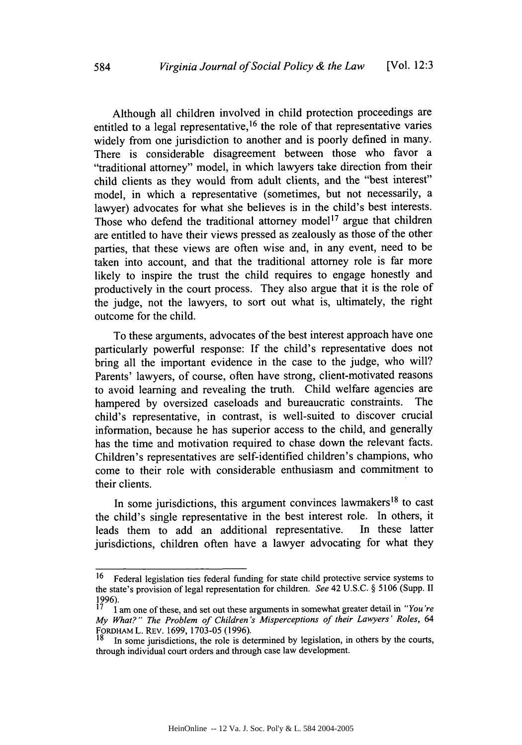Although all children involved in child protection proceedings are entitled to a legal representative,  $16$  the role of that representative varies widely from one jurisdiction to another and is poorly defined in many. There is considerable disagreement between those who favor a "traditional attorney" model, in which lawyers take direction from their child clients as they would from adult clients, and the "best interest" model, in which a representative (sometimes, but not necessarily, a lawyer) advocates for what she believes is in the child's best interests. Those who defend the traditional attorney model<sup>17</sup> argue that children are entitled to have their views pressed as zealously as those of the other parties, that these views are often wise and, in any event, need to be taken into account, and that the traditional attorney role is far more likely to inspire the trust the child requires to engage honestly and productively in the court process. They also argue that it is the role of the judge, not the lawyers, to sort out what is, ultimately, the right outcome for the child.

To these arguments, advocates of the best interest approach have one particularly powerful response: If the child's representative does not bring all the important evidence in the case to the judge, who will? Parents' lawyers, of course, often have strong, client-motivated reasons to avoid learning and revealing the truth. Child welfare agencies are hampered by oversized caseloads and bureaucratic constraints. The child's representative, in contrast, is well-suited to discover crucial information, because he has superior access to the child, and generally has the time and motivation required to chase down the relevant facts. Children's representatives are self-identified children's champions, who come to their role with considerable enthusiasm and commitment to their clients.

In some jurisdictions, this argument convinces lawmakers<sup>18</sup> to cast the child's single representative in the best interest role. In others, it leads them to add an additional representative. In these latter jurisdictions, children often have a lawyer advocating for what they

<sup>&</sup>lt;sup>16</sup> Federal legislation ties federal funding for state child protective service systems to the state's provision of legal representation for children. *See* 42 U.S.C. § 5106 (Supp. II 1996).

<sup>17</sup>**1** am one of these, and set out these arguments in somewhat greater detail in *"You're My What?" The Problem of Children's Misperceptions of their Lawyers' Roles, 64* FoRDAM L. REv. 1699, 1703-05 (1996).

In some jurisdictions, the role is determined by legislation, in others by the courts, through individual court orders and through case law development.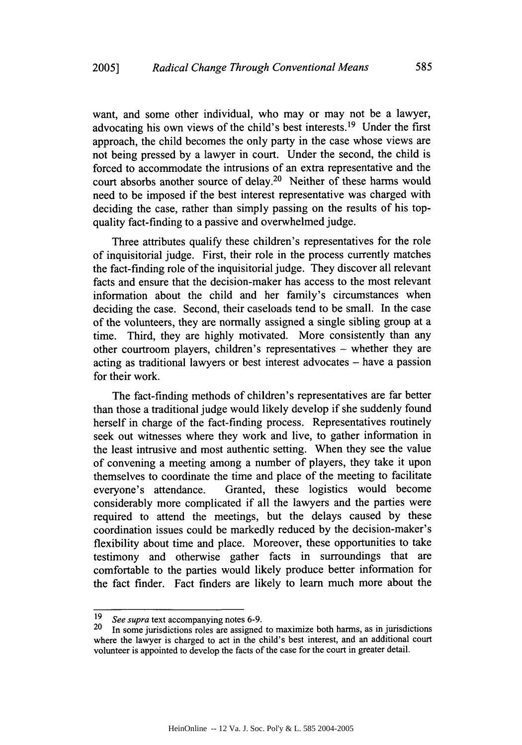want, and some other individual, who may or may not be a lawyer, advocating his own views of the child's best interests. 19 Under the first approach, the child becomes the only party in the case whose views are not being pressed by a lawyer in court. Under the second, the child is forced to accommodate the intrusions of an extra representative and the court absorbs another source of delay.<sup>20</sup> Neither of these harms would need to be imposed if the best interest representative was charged with deciding the case, rather than simply passing on the results of his topquality fact-finding to a passive and overwhelmed judge.

Three attributes qualify these children's representatives for the role of inquisitorial judge. First, their role in the process currently matches the fact-finding role of the inquisitorial judge. They discover all relevant facts and ensure that the decision-maker has access to the most relevant information about the child and her family's circumstances when deciding the case. Second, their caseloads tend to be small. In the case of the volunteers, they are normally assigned a single sibling group at a time. Third, they are highly motivated. More consistently than any other courtroom players, children's representatives **-** whether they are acting as traditional lawyers or best interest advocates – have a passion for their work.

The fact-finding methods of children's representatives are far better than those a traditional judge would likely develop if she suddenly found herself in charge of the fact-finding process. Representatives routinely seek out witnesses where they work and live, to gather information in the least intrusive and most authentic setting. When they see the value of convening a meeting among a number of players, they take it upon themselves to coordinate the time and place of the meeting to facilitate everyone's attendance. Granted, these logistics would become considerably more complicated if all the lawyers and the parties were required to attend the meetings, but the delays caused by these coordination issues could be markedly reduced by the decision-maker's flexibility about time and place. Moreover, these opportunities to take testimony and otherwise gather facts in surroundings that are comfortable to the parties would likely produce better information for the fact finder. Fact finders are likely to learn much more about the

<sup>19</sup>*See supra* text accompanying notes 6-9.

<sup>&</sup>lt;sup>20</sup> In some jurisdictions roles are assigned to maximize both harms, as in jurisdictions where the lawyer is charged to act in the child's best interest, and an additional court volunteer is appointed to develop the facts of the case for the court in greater detail.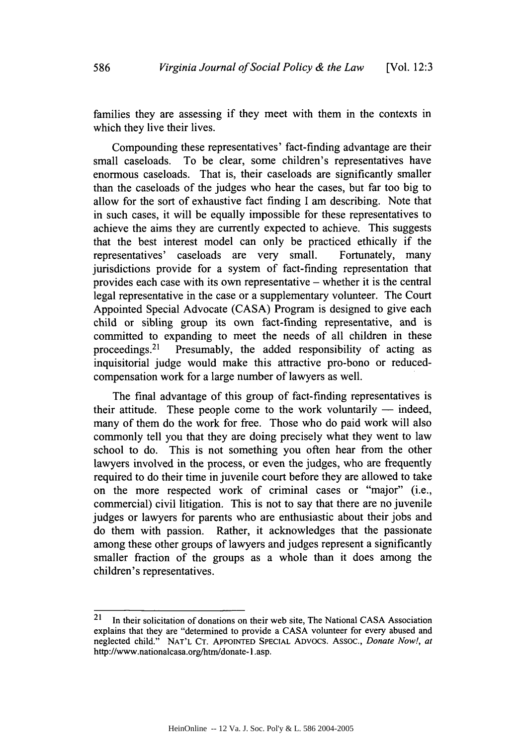families they are assessing if they meet with them in the contexts in which they live their lives.

Compounding these representatives' fact-finding advantage are their small caseloads. To be clear, some children's representatives have enormous caseloads. That is, their caseloads are significantly smaller than the caseloads of the judges who hear the cases, but far too big to allow for the sort of exhaustive fact finding I am describing. Note that in such cases, it will be equally impossible for these representatives to achieve the aims they are currently expected to achieve. This suggests that the best interest model can only be practiced ethically if the representatives' caseloads are very small. Fortunately, many jurisdictions provide for a system of fact-finding representation that provides each case with its own representative - whether it is the central legal representative in the case or a supplementary volunteer. The Court Appointed Special Advocate (CASA) Program is designed to give each child or sibling group its own fact-finding representative, and is committed to expanding to meet the needs of all children in these proceedings.<sup>21</sup> Presumably, the added responsibility of acting as inquisitorial judge would make this attractive pro-bono or reducedcompensation work for a large number of lawyers as well.

The final advantage of this group of fact-finding representatives is their attitude. These people come to the work voluntarily  $-$  indeed, many of them do the work for free. Those who do paid work will also commonly tell you that they are doing precisely what they went to law school to do. This is not something you often hear from the other lawyers involved in the process, or even the judges, who are frequently required to do their time in juvenile court before they are allowed to take on the more respected work of criminal cases or "major" (i.e., commercial) civil litigation. This is not to say that there are no juvenile judges or lawyers for parents who are enthusiastic about their jobs and do them with passion. Rather, it acknowledges that the passionate among these other groups of lawyers and judges represent a significantly smaller fraction of the groups as a whole than it does among the children's representatives.

<sup>21</sup> In their solicitation of donations on their web site, The National CASA Association explains that they are "determined to provide a CASA volunteer for every abused and neglected child." NAT'L **CT.** APPOINTED SPECIAL ADvocs. Assoc., *Donate Now!, at* http://www.nationalcasa.org/htm/donate- 1 .asp.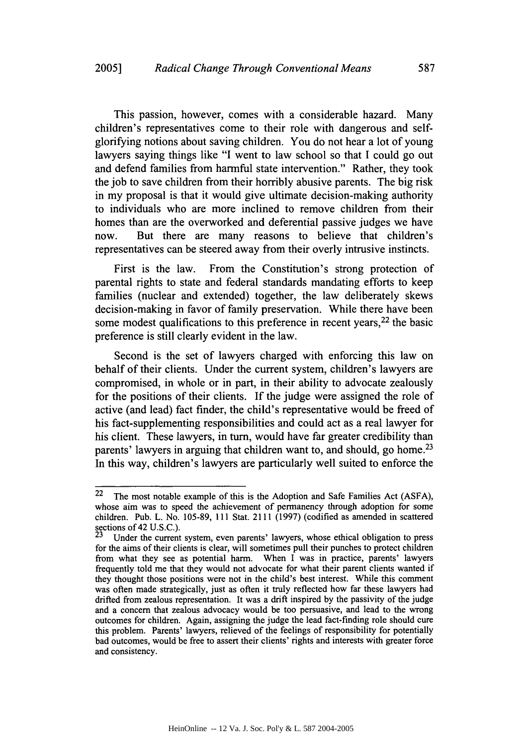This passion, however, comes with a considerable hazard. Many children's representatives come to their role with dangerous and selfglorifying notions about saving children. You do not hear a lot of young lawyers saying things like "I went to law school so that I could go out and defend families from harmful state intervention." Rather, they took the job to save children from their horribly abusive parents. The big risk in my proposal is that it would give ultimate decision-making authority to individuals who are more inclined to remove children from their homes than are the overworked and deferential passive judges we have now. But there are many reasons to believe that children's representatives can be steered away from their overly intrusive instincts.

First is the law. From the Constitution's strong protection of parental rights to state and federal standards mandating efforts to keep families (nuclear and extended) together, the law deliberately skews decision-making in favor of family preservation. While there have been some modest qualifications to this preference in recent years, <sup>22</sup> the basic preference is still clearly evident in the law.

Second is the set of lawyers charged with enforcing this law on behalf of their clients. Under the current system, children's lawyers are compromised, in whole or in part, in their ability to advocate zealously for the positions of their clients. If the judge were assigned the role of active (and lead) fact finder, the child's representative would be freed of his fact-supplementing responsibilities and could act as a real lawyer for his client. These lawyers, in turn, would have far greater credibility than parents' lawyers in arguing that children want to, and should, go home.<sup>23</sup> In this way, children's lawyers are particularly well suited to enforce the

 $22$  The most notable example of this is the Adoption and Safe Families Act (ASFA), whose aim was to speed the achievement of permanency through adoption for some children. Pub. L. No. 105-89, 111 Stat. 2111 (1997) (codified as amended in scattered sections of 42 U.S.C.).

Under the current system, even parents' lawyers, whose ethical obligation to press for the aims of their clients is clear, will sometimes pull their punches to protect children from what they see as potential harm. When I was in practice, parents' lawyers frequently told me that they would not advocate for what their parent clients wanted if they thought those positions were not in the child's best interest. While this comment was often made strategically, just as often it truly reflected how far these lawyers had drifted from zealous representation. It was a drift inspired by the passivity of the judge and a concern that zealous advocacy would be too persuasive, and lead to the wrong outcomes for children. Again, assigning the judge the lead fact-finding role should cure this problem. Parents' lawyers, relieved of the feelings of responsibility for potentially bad outcomes, would be free to assert their clients' rights and interests with greater force and consistency.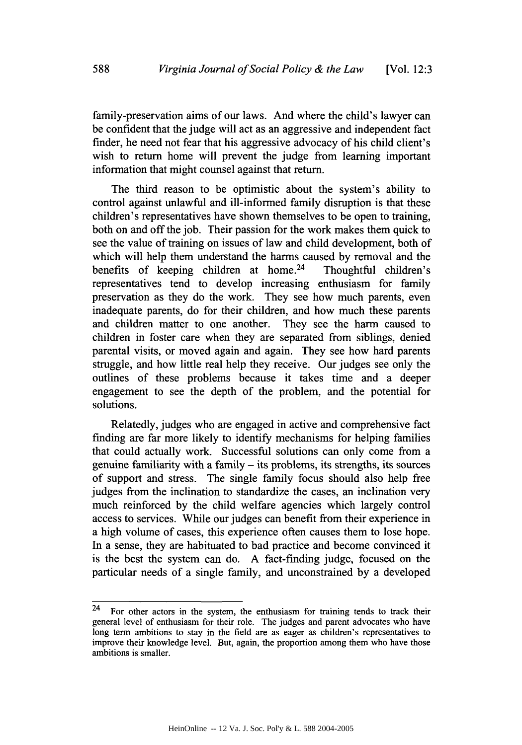family-preservation aims of our laws. And where the child's lawyer can be confident that the judge will act as an aggressive and independent fact finder, he need not fear that his aggressive advocacy of his child client's wish to return home will prevent the judge from learning important information that might counsel against that return.

The third reason to be optimistic about the system's ability to control against unlawful and ill-informed family disruption is that these children's representatives have shown themselves to be open to training, both on and off the job. Their passion for the work makes them quick to see the value of training on issues of law and child development, both of which will help them understand the harms caused by removal and the benefits of keeping children at home.<sup>24</sup> Thoughtful children's representatives tend to develop increasing enthusiasm for family preservation as they do the work. They see how much parents, even inadequate parents, do for their children, and how much these parents and children matter to one another. They see the harm caused to children in foster care when they are separated from siblings, denied parental visits, or moved again and again. They see how hard parents struggle, and how little real help they receive. Our judges see only the outlines of these problems because it takes time and a deeper engagement to see the depth of the problem, and the potential for solutions.

Relatedly, judges who are engaged in active and comprehensive fact finding are far more likely to identify mechanisms for helping families that could actually work. Successful solutions can only come from a genuine familiarity with a family - its problems, its strengths, its sources of support and stress. The single family focus should also help free judges from the inclination to standardize the cases, an inclination very much reinforced by the child welfare agencies which largely control access to services. While our judges can benefit from their experience in a high volume of cases, this experience often causes them to lose hope. In a sense, they are habituated to bad practice and become convinced it is the best the system can do. A fact-finding judge, focused on the particular needs of a single family, and unconstrained by a developed

 $24$  For other actors in the system, the enthusiasm for training tends to track their general level of enthusiasm for their role. The judges and parent advocates who have long term ambitions to stay in the field are as eager as children's representatives to improve their knowledge level. But, again, the proportion among them who have those ambitions is smaller.